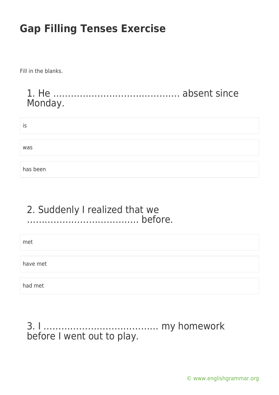Fill in the blanks.

#### 1. He ……………………………………. absent since Monday.

| $\cdot$<br>İS |  |  |
|---------------|--|--|
|               |  |  |
| was           |  |  |
|               |  |  |
| has been      |  |  |

#### 2. Suddenly I realized that we ……………………………….. before.

met

have met

had met

#### 3. I ………………………………… my homework before I went out to play.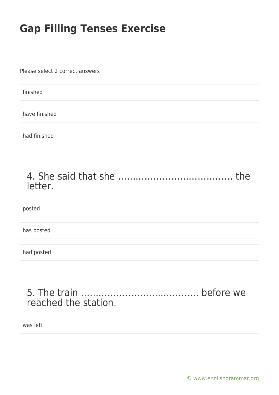Please select 2 correct answers

finished

have finished

had finished

| letter. |  |
|---------|--|

posted

has posted

had posted

### 5. The train …………………………………. before we reached the station.

was left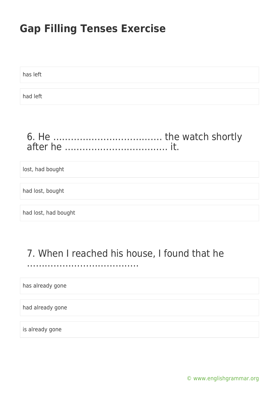has left had left

### 6. He ………………………………. the watch shortly after he …………………………….. it.

lost, had bought

had lost, bought

had lost, had bought

### 7. When I reached his house, I found that he

………………………………..

has already gone

had already gone

is already gone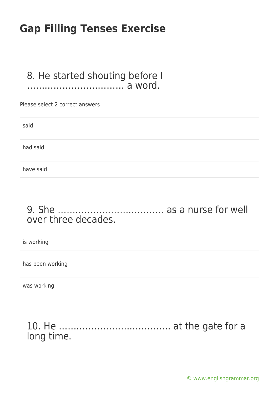#### 8. He started shouting before I …………………………… a word.

Please select 2 correct answers

| said      |  |  |
|-----------|--|--|
| had said  |  |  |
|           |  |  |
| have said |  |  |

### 9. She ……………………………… as a nurse for well over three decades.

is working

has been working

was working

#### 10. He ……………………………….. at the gate for a long time.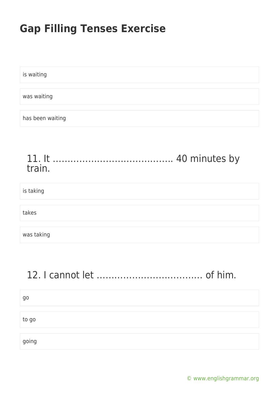is waiting was waiting has been waiting

#### 11. It ………………………………….. 40 minutes by train.

is taking

takes

was taking

### 12. I cannot let ……………………………… of him.

| go    |  |  |  |
|-------|--|--|--|
|       |  |  |  |
| to go |  |  |  |
|       |  |  |  |
| going |  |  |  |